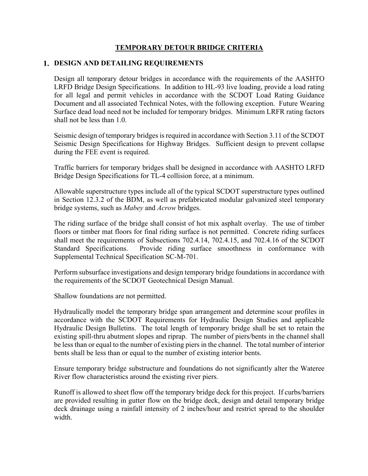## **TEMPORARY DETOUR BRIDGE CRITERIA**

### **DESIGN AND DETAILING REQUIREMENTS**

Design all temporary detour bridges in accordance with the requirements of the AASHTO LRFD Bridge Design Specifications. In addition to HL-93 live loading, provide a load rating for all legal and permit vehicles in accordance with the SCDOT Load Rating Guidance Document and all associated Technical Notes, with the following exception. Future Wearing Surface dead load need not be included for temporary bridges. Minimum LRFR rating factors shall not be less than 1.0.

Seismic design of temporary bridges is required in accordance with Section 3.11 of the SCDOT Seismic Design Specifications for Highway Bridges. Sufficient design to prevent collapse during the FEE event is required.

Traffic barriers for temporary bridges shall be designed in accordance with AASHTO LRFD Bridge Design Specifications for TL-4 collision force, at a minimum.

Allowable superstructure types include all of the typical SCDOT superstructure types outlined in Section 12.3.2 of the BDM, as well as prefabricated modular galvanized steel temporary bridge systems, such as *Mabey* and *Acrow* bridges.

The riding surface of the bridge shall consist of hot mix asphalt overlay. The use of timber floors or timber mat floors for final riding surface is not permitted. Concrete riding surfaces shall meet the requirements of Subsections 702.4.14, 702.4.15, and 702.4.16 of the SCDOT Standard Specifications. Provide riding surface smoothness in conformance with Supplemental Technical Specification SC-M-701.

Perform subsurface investigations and design temporary bridge foundations in accordance with the requirements of the SCDOT Geotechnical Design Manual.

Shallow foundations are not permitted.

Hydraulically model the temporary bridge span arrangement and determine scour profiles in accordance with the SCDOT Requirements for Hydraulic Design Studies and applicable Hydraulic Design Bulletins. The total length of temporary bridge shall be set to retain the existing spill-thru abutment slopes and riprap. The number of piers/bents in the channel shall be less than or equal to the number of existing piers in the channel. The total number of interior bents shall be less than or equal to the number of existing interior bents.

Ensure temporary bridge substructure and foundations do not significantly alter the Wateree River flow characteristics around the existing river piers.

Runoff is allowed to sheet flow off the temporary bridge deck for this project. If curbs/barriers are provided resulting in gutter flow on the bridge deck, design and detail temporary bridge deck drainage using a rainfall intensity of 2 inches/hour and restrict spread to the shoulder width.